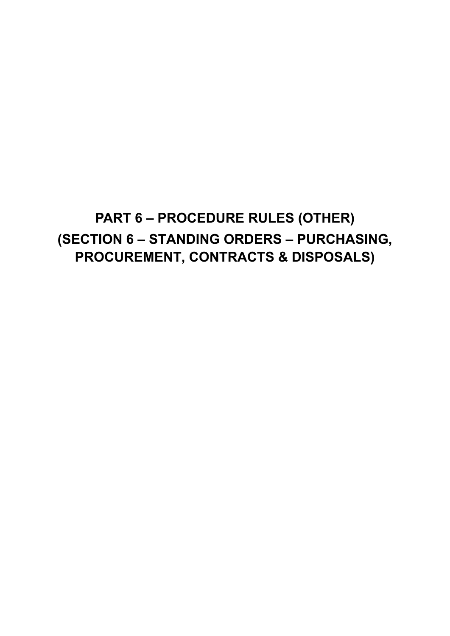# **PART 6 – PROCEDURE RULES (OTHER) (SECTION 6 – STANDING ORDERS – PURCHASING, PROCUREMENT, CONTRACTS & DISPOSALS)**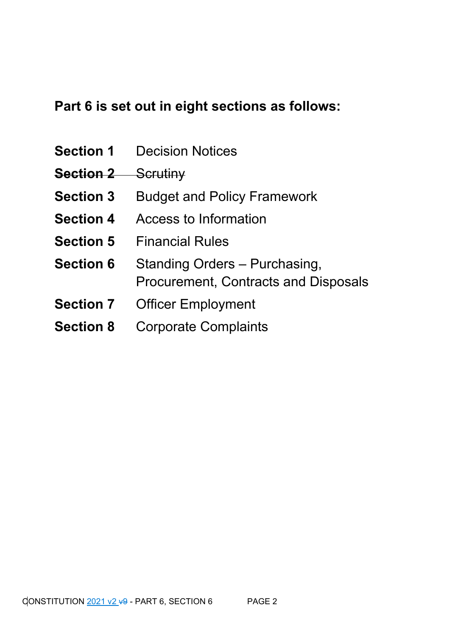## **Part 6 is set out in eight sections as follows:**

- **Section 1** Decision Notices
- **Section 2** Scrutiny
- **Section 3** Budget and Policy Framework
- **Section 4** Access to Information
- **Section 5** Financial Rules
- **Section 6** Standing Orders Purchasing, Procurement, Contracts and Disposals
- **Section 7** Officer Employment
- **Section 8** Corporate Complaints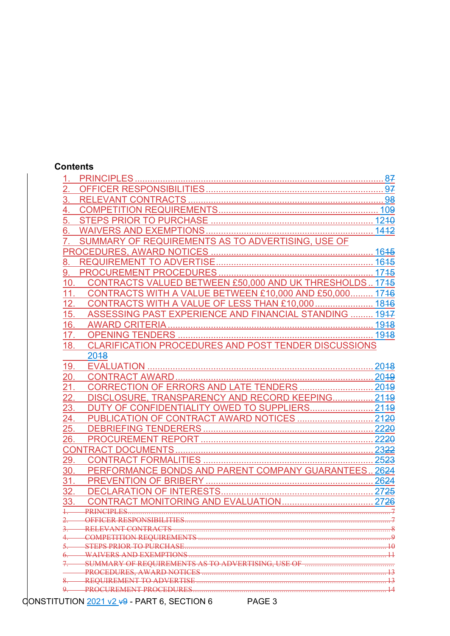#### **Contents**

| $\overline{2}$ . |                                                             |      |
|------------------|-------------------------------------------------------------|------|
| 3.               |                                                             |      |
| 4.               |                                                             |      |
|                  |                                                             |      |
| 6.               |                                                             | 1442 |
|                  | SUMMARY OF REQUIREMENTS AS TO ADVERTISING, USE OF           |      |
|                  |                                                             |      |
| 8.               |                                                             |      |
| 9.               |                                                             |      |
| 10.              |                                                             |      |
| 11.              | CONTRACTS WITH A VALUE BETWEEN £10,000 AND £50,000 1746     |      |
| 12.              | CONTRACTS WITH A VALUE OF LESS THAN £10,000  1846           |      |
| 15.              | ASSESSING PAST EXPERIENCE AND FINANCIAL STANDING  1947      |      |
| 16.              |                                                             |      |
| 17.              |                                                             |      |
| 18.              | <b>CLARIFICATION PROCEDURES AND POST TENDER DISCUSSIONS</b> |      |
|                  | 2048                                                        |      |
| 19.              |                                                             | 2048 |
| <u> 20. </u>     |                                                             |      |
| 21.              |                                                             |      |
| 22.              | DISCLOSURE, TRANSPARENCY AND RECORD KEEPING 2149            |      |
| 23.              | DUTY OF CONFIDENTIALITY OWED TO SUPPLIERS 2149              |      |
| 24.              |                                                             |      |
| 25.              |                                                             |      |
| 26.              |                                                             |      |
|                  |                                                             |      |
| 29.              |                                                             |      |
| 30.              | PERFORMANCE BONDS AND PARENT COMPANY GUARANTEES 2624        |      |
| 31.              |                                                             |      |
| 32.              |                                                             |      |
| 33.              |                                                             |      |
|                  | <b>PRINCIPLES</b>                                           |      |
|                  |                                                             |      |
|                  |                                                             |      |
|                  | <b>DN REQUIREMENTS</b>                                      |      |
|                  | <b>TO PURCHASE</b>                                          |      |
|                  | <b>EXEMPTIONS</b>                                           |      |
|                  | EQUIREMENTS AS TO ADVERTISING. USE OF                       |      |
|                  | <b>REQUIREMENT TO ADVERTISE</b>                             |      |
|                  | PROCUREMENT PROCEDURES                                      |      |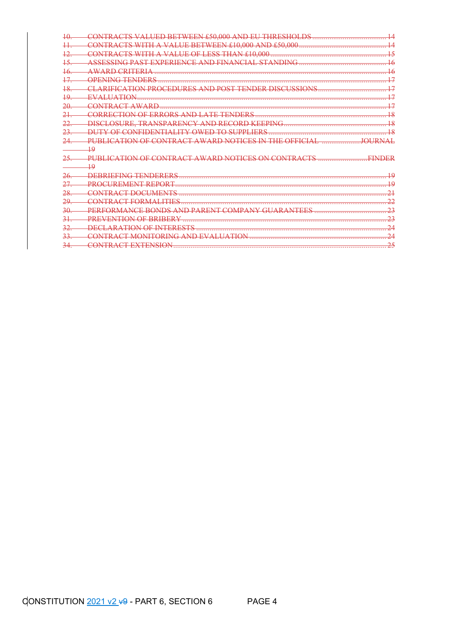| 40      | <del>£50,000 AND</del><br>THRESHOLDS                                                     |                    |
|---------|------------------------------------------------------------------------------------------|--------------------|
|         | VALUE BETWEEN £10,000 AND £50,000                                                        |                    |
| 12.     | <del>CONTRACTS WITH</del>                                                                | 15                 |
| 15      | ASSESSING PAST EXPERIENCE AND FINANCIAL STANDING                                         | 46                 |
| 46      | <del>AWARD CRITERIA .</del>                                                              | 16                 |
|         | OPENING TENDERS                                                                          | 17                 |
| $^{18}$ | <b>ARIFICATION PROCEDURE</b><br><b>CLIGGIOVIG</b><br><b>DIC</b>                          | <u> 17</u>         |
| 19      | EVALUATION                                                                               | <u> 17</u>         |
| 20      | CONTRACT AWARD                                                                           | 17                 |
| 21.     | CORRECTION OF ERRORS AND LATE TENDERS                                                    | <del>18</del>      |
|         | LOSURE,<br>TRANSPARENCY<br><b>AND RECORD KEEPING</b><br>DISCI                            | <u> 1 Q</u>        |
|         | Y OF CONFIDENTIALITY OWED TO SUPPLIERS<br>ווח                                            | $\overline{18}$    |
|         | <u>AWADD NOTICES IN</u><br>DI IDI I $\cap$ A<br><b>TION OF</b><br>$C\cap N$ TD $\Lambda$ | <b>IOI IDNIA I</b> |
|         | 19                                                                                       |                    |
|         | <b>DI IRI ICATION OF CONTRA</b><br>A WA DIN NOTICES ON CONTDACTS                         | <b>EINIDER</b>     |
|         | 49                                                                                       |                    |
|         | DERRIEEING TENDERERS                                                                     | 10                 |
|         | PROCUREMENT REPORT                                                                       | 1 <sub>0</sub>     |
| 28.     | CONTD A CT DOCUMENTS                                                                     | 21                 |
| 29.     | <u>CONTRACT EORMAL ITIES</u>                                                             | $\mathcal{D}$      |
| 30      | <b>PEREORMANCE RONDS</b><br>AND PARE<br><b>DANTEES</b>                                   | 2 <sub>2</sub>     |
| 31.     | PREVENTION OF BRIBERY                                                                    | 2 <sub>2</sub>     |
|         | <b>ARATION OF INTERFSTS</b><br>DECI                                                      | $2\Lambda$         |
|         | CONTRACT MONITORING AND EVALUATION                                                       | $2\pi$             |
|         | <b>CONTRACT EXTENSION</b>                                                                | 25                 |
|         |                                                                                          |                    |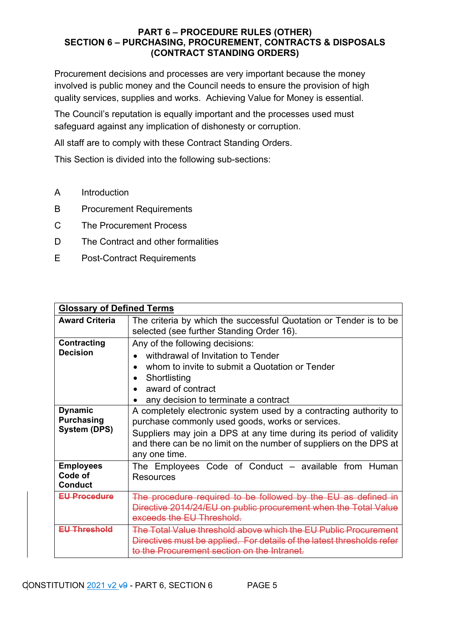Procurement decisions and processes are very important because the money involved is public money and the Council needs to ensure the provision of high quality services, supplies and works. Achieving Value for Money is essential.

The Council's reputation is equally important and the processes used must safeguard against any implication of dishonesty or corruption.

All staff are to comply with these Contract Standing Orders.

This Section is divided into the following sub-sections:

- A Introduction
- B Procurement Requirements
- C The Procurement Process
- D The Contract and other formalities
- E Post-Contract Requirements

| <b>Glossary of Defined Terms</b>                                                                                                                                                                                                              |                                                                                                                                                                                                                                                                                    |  |  |
|-----------------------------------------------------------------------------------------------------------------------------------------------------------------------------------------------------------------------------------------------|------------------------------------------------------------------------------------------------------------------------------------------------------------------------------------------------------------------------------------------------------------------------------------|--|--|
| <b>Award Criteria</b>                                                                                                                                                                                                                         | The criteria by which the successful Quotation or Tender is to be<br>selected (see further Standing Order 16).                                                                                                                                                                     |  |  |
| <b>Contracting</b><br>Any of the following decisions:<br><b>Decision</b><br>withdrawal of Invitation to Tender<br>whom to invite to submit a Quotation or Tender<br>Shortlisting<br>award of contract<br>any decision to terminate a contract |                                                                                                                                                                                                                                                                                    |  |  |
| <b>Dynamic</b><br><b>Purchasing</b><br><b>System (DPS)</b>                                                                                                                                                                                    | A completely electronic system used by a contracting authority to<br>purchase commonly used goods, works or services.<br>Suppliers may join a DPS at any time during its period of validity<br>and there can be no limit on the number of suppliers on the DPS at<br>any one time. |  |  |
| <b>Employees</b><br>Code of<br><b>Conduct</b>                                                                                                                                                                                                 | The Employees Code of Conduct - available from Human<br><b>Resources</b>                                                                                                                                                                                                           |  |  |
| <b>EU Procedure</b>                                                                                                                                                                                                                           | The procedure required to be followed by the EU as defined in<br>Directive 2014/24/EU on public procurement when the Total Value<br>exceeds the EU Threshold.                                                                                                                      |  |  |
| Ell Threshold                                                                                                                                                                                                                                 | <u>The Total Value threshold above which the ELLPublic Procurem</u><br>Directives must be applied. For details of the latest thresholds refer<br>to the Procurement section on the Intranet.                                                                                       |  |  |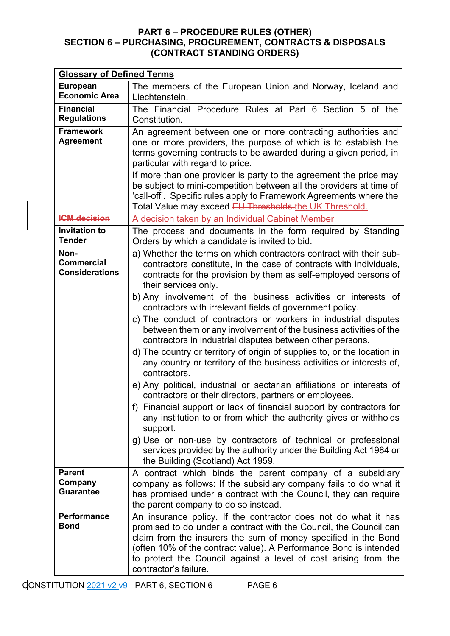| <b>Glossary of Defined Terms</b>                   |                                                                                                                                                                                                                                                                                                                                                                                                                                                                                                                                                                                                                                                                                                                                                                                                                                                                                                                                                                                                                                                                                                                                                                                                                   |  |  |
|----------------------------------------------------|-------------------------------------------------------------------------------------------------------------------------------------------------------------------------------------------------------------------------------------------------------------------------------------------------------------------------------------------------------------------------------------------------------------------------------------------------------------------------------------------------------------------------------------------------------------------------------------------------------------------------------------------------------------------------------------------------------------------------------------------------------------------------------------------------------------------------------------------------------------------------------------------------------------------------------------------------------------------------------------------------------------------------------------------------------------------------------------------------------------------------------------------------------------------------------------------------------------------|--|--|
| <b>European</b><br><b>Economic Area</b>            | The members of the European Union and Norway, Iceland and<br>Liechtenstein.                                                                                                                                                                                                                                                                                                                                                                                                                                                                                                                                                                                                                                                                                                                                                                                                                                                                                                                                                                                                                                                                                                                                       |  |  |
| <b>Financial</b><br><b>Regulations</b>             | The Financial Procedure Rules at Part 6 Section 5 of the<br>Constitution.                                                                                                                                                                                                                                                                                                                                                                                                                                                                                                                                                                                                                                                                                                                                                                                                                                                                                                                                                                                                                                                                                                                                         |  |  |
| <b>Framework</b><br><b>Agreement</b>               | An agreement between one or more contracting authorities and<br>one or more providers, the purpose of which is to establish the<br>terms governing contracts to be awarded during a given period, in<br>particular with regard to price.<br>If more than one provider is party to the agreement the price may<br>be subject to mini-competition between all the providers at time of<br>'call-off'. Specific rules apply to Framework Agreements where the<br>Total Value may exceed EU Thresholds.the UK Threshold.                                                                                                                                                                                                                                                                                                                                                                                                                                                                                                                                                                                                                                                                                              |  |  |
| <b>ICM decision</b>                                | A decision taken by an Individual Cabinet Member                                                                                                                                                                                                                                                                                                                                                                                                                                                                                                                                                                                                                                                                                                                                                                                                                                                                                                                                                                                                                                                                                                                                                                  |  |  |
| <b>Invitation to</b><br><b>Tender</b>              | The process and documents in the form required by Standing<br>Orders by which a candidate is invited to bid.                                                                                                                                                                                                                                                                                                                                                                                                                                                                                                                                                                                                                                                                                                                                                                                                                                                                                                                                                                                                                                                                                                      |  |  |
| Non-<br><b>Commercial</b><br><b>Considerations</b> | a) Whether the terms on which contractors contract with their sub-<br>contractors constitute, in the case of contracts with individuals,<br>contracts for the provision by them as self-employed persons of<br>their services only.<br>b) Any involvement of the business activities or interests of<br>contractors with irrelevant fields of government policy.<br>c) The conduct of contractors or workers in industrial disputes<br>between them or any involvement of the business activities of the<br>contractors in industrial disputes between other persons.<br>d) The country or territory of origin of supplies to, or the location in<br>any country or territory of the business activities or interests of,<br>contractors.<br>e) Any political, industrial or sectarian affiliations or interests of<br>contractors or their directors, partners or employees.<br>f) Financial support or lack of financial support by contractors for<br>any institution to or from which the authority gives or withholds<br>support.<br>g) Use or non-use by contractors of technical or professional<br>services provided by the authority under the Building Act 1984 or<br>the Building (Scotland) Act 1959. |  |  |
| <b>Parent</b><br>Company<br><b>Guarantee</b>       | A contract which binds the parent company of a subsidiary<br>company as follows: If the subsidiary company fails to do what it<br>has promised under a contract with the Council, they can require<br>the parent company to do so instead.                                                                                                                                                                                                                                                                                                                                                                                                                                                                                                                                                                                                                                                                                                                                                                                                                                                                                                                                                                        |  |  |
| <b>Performance</b><br><b>Bond</b>                  | An insurance policy. If the contractor does not do what it has<br>promised to do under a contract with the Council, the Council can<br>claim from the insurers the sum of money specified in the Bond<br>(often 10% of the contract value). A Performance Bond is intended<br>to protect the Council against a level of cost arising from the<br>contractor's failure.                                                                                                                                                                                                                                                                                                                                                                                                                                                                                                                                                                                                                                                                                                                                                                                                                                            |  |  |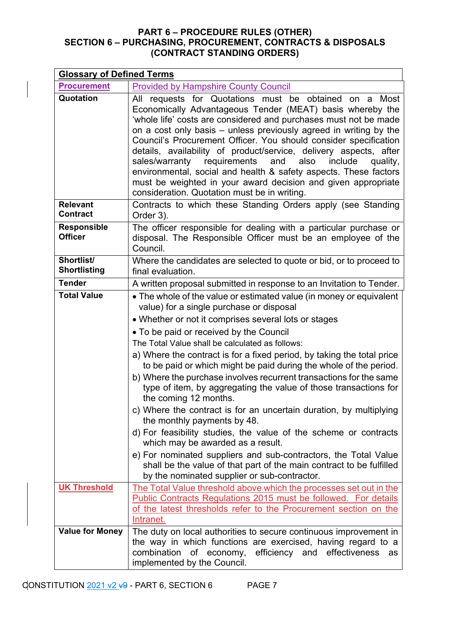| <b>Glossary of Defined Terms</b>                                                                                |                                                                                                                                                                                                                                                                                                                                                                                                                                                                                                                                                                                                                                                                                                                                                                                                                                                                                                                                                                                                  |  |
|-----------------------------------------------------------------------------------------------------------------|--------------------------------------------------------------------------------------------------------------------------------------------------------------------------------------------------------------------------------------------------------------------------------------------------------------------------------------------------------------------------------------------------------------------------------------------------------------------------------------------------------------------------------------------------------------------------------------------------------------------------------------------------------------------------------------------------------------------------------------------------------------------------------------------------------------------------------------------------------------------------------------------------------------------------------------------------------------------------------------------------|--|
| <b>Procurement</b>                                                                                              | <b>Provided by Hampshire County Council</b>                                                                                                                                                                                                                                                                                                                                                                                                                                                                                                                                                                                                                                                                                                                                                                                                                                                                                                                                                      |  |
| Quotation                                                                                                       | requests for Quotations must be obtained on<br>Most<br>All<br>a a<br>Economically Advantageous Tender (MEAT) basis whereby the<br>'whole life' costs are considered and purchases must not be made<br>on a cost only basis – unless previously agreed in writing by the<br>Council's Procurement Officer. You should consider specification<br>details, availability of product/service, delivery aspects, after<br>requirements<br>and<br>also<br>include<br>sales/warranty<br>quality,<br>environmental, social and health & safety aspects. These factors<br>must be weighted in your award decision and given appropriate<br>consideration. Quotation must be in writing.                                                                                                                                                                                                                                                                                                                    |  |
| Contracts to which these Standing Orders apply (see Standing<br><b>Relevant</b><br><b>Contract</b><br>Order 3). |                                                                                                                                                                                                                                                                                                                                                                                                                                                                                                                                                                                                                                                                                                                                                                                                                                                                                                                                                                                                  |  |
| <b>Responsible</b><br><b>Officer</b>                                                                            | The officer responsible for dealing with a particular purchase or<br>disposal. The Responsible Officer must be an employee of the<br>Council.                                                                                                                                                                                                                                                                                                                                                                                                                                                                                                                                                                                                                                                                                                                                                                                                                                                    |  |
| Shortlist/<br><b>Shortlisting</b>                                                                               | Where the candidates are selected to quote or bid, or to proceed to<br>final evaluation.                                                                                                                                                                                                                                                                                                                                                                                                                                                                                                                                                                                                                                                                                                                                                                                                                                                                                                         |  |
| <b>Tender</b>                                                                                                   | A written proposal submitted in response to an Invitation to Tender.                                                                                                                                                                                                                                                                                                                                                                                                                                                                                                                                                                                                                                                                                                                                                                                                                                                                                                                             |  |
| <b>Total Value</b>                                                                                              | • The whole of the value or estimated value (in money or equivalent<br>value) for a single purchase or disposal<br>• Whether or not it comprises several lots or stages<br>• To be paid or received by the Council<br>The Total Value shall be calculated as follows:<br>a) Where the contract is for a fixed period, by taking the total price<br>to be paid or which might be paid during the whole of the period.<br>b) Where the purchase involves recurrent transactions for the same<br>type of item, by aggregating the value of those transactions for<br>the coming 12 months.<br>c) Where the contract is for an uncertain duration, by multiplying<br>the monthly payments by 48.<br>d) For feasibility studies, the value of the scheme or contracts<br>which may be awarded as a result.<br>e) For nominated suppliers and sub-contractors, the Total Value<br>shall be the value of that part of the main contract to be fulfilled<br>by the nominated supplier or sub-contractor. |  |
| <b>UK Threshold</b>                                                                                             | The Total Value threshold above which the processes set out in the<br>Public Contracts Regulations 2015 must be followed. For details<br>of the latest thresholds refer to the Procurement section on the<br>Intranet.                                                                                                                                                                                                                                                                                                                                                                                                                                                                                                                                                                                                                                                                                                                                                                           |  |
| <b>Value for Money</b>                                                                                          | The duty on local authorities to secure continuous improvement in<br>the way in which functions are exercised, having regard to a<br>combination of economy, efficiency and effectiveness<br>as<br>implemented by the Council.                                                                                                                                                                                                                                                                                                                                                                                                                                                                                                                                                                                                                                                                                                                                                                   |  |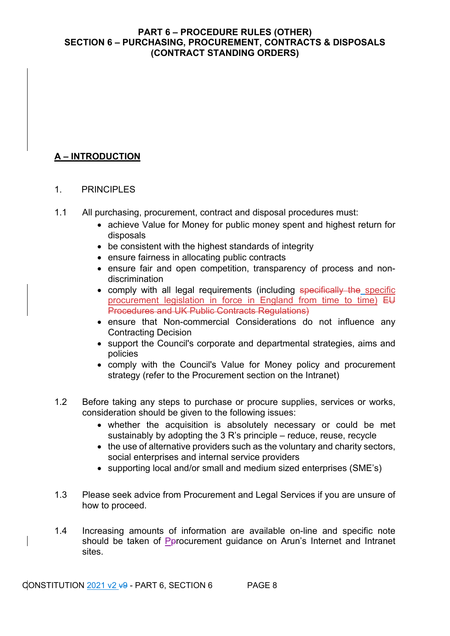## **A – INTRODUCTION**

## 1 PRINCIPI FS

- 1.1 All purchasing, procurement, contract and disposal procedures must:
	- achieve Value for Money for public money spent and highest return for disposals
	- be consistent with the highest standards of integrity
	- ensure fairness in allocating public contracts
	- ensure fair and open competition, transparency of process and nondiscrimination
	- comply with all legal requirements (including specifically the specific procurement legislation in force in England from time to time) EU Procedures and UK Public Contracts Regulations)
	- ensure that Non-commercial Considerations do not influence any Contracting Decision
	- support the Council's corporate and departmental strategies, aims and policies
	- comply with the Council's Value for Money policy and procurement strategy (refer to the Procurement section on the Intranet)
- 1.2 Before taking any steps to purchase or procure supplies, services or works, consideration should be given to the following issues:
	- whether the acquisition is absolutely necessary or could be met sustainably by adopting the 3 R's principle – reduce, reuse, recycle
	- the use of alternative providers such as the voluntary and charity sectors, social enterprises and internal service providers
	- supporting local and/or small and medium sized enterprises (SME's)
- 1.3 Please seek advice from Procurement and Legal Services if you are unsure of how to proceed.
- 1.4 Increasing amounts of information are available on-line and specific note should be taken of Perocurement quidance on Arun's Internet and Intranet sites.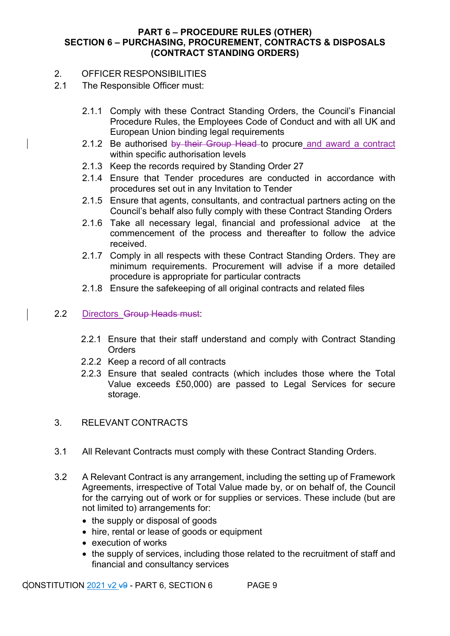#### 2. OFFICER RESPONSIBILITIES

- 2.1 The Responsible Officer must:
	- 2.1.1 Comply with these Contract Standing Orders, the Council's Financial Procedure Rules, the Employees Code of Conduct and with all UK and European Union binding legal requirements
	- 2.1.2 Be authorised by their Group Head to procure and award a contract within specific authorisation levels
	- 2.1.3 Keep the records required by Standing Order 27
	- 2.1.4 Ensure that Tender procedures are conducted in accordance with procedures set out in any Invitation to Tender
	- 2.1.5 Ensure that agents, consultants, and contractual partners acting on the Council's behalf also fully comply with these Contract Standing Orders
	- 2.1.6 Take all necessary legal, financial and professional advice at the commencement of the process and thereafter to follow the advice received.
	- 2.1.7 Comply in all respects with these Contract Standing Orders. They are minimum requirements. Procurement will advise if a more detailed procedure is appropriate for particular contracts
	- 2.1.8 Ensure the safekeeping of all original contracts and related files

## 2.2 Directors Group Heads must:

- 2.2.1 Ensure that their staff understand and comply with Contract Standing **Orders**
- 2.2.2 Keep a record of all contracts
- 2.2.3 Ensure that sealed contracts (which includes those where the Total Value exceeds £50,000) are passed to Legal Services for secure storage.
- 3. RELEVANT CONTRACTS
- 3.1 All Relevant Contracts must comply with these Contract Standing Orders.
- 3.2 A Relevant Contract is any arrangement, including the setting up of Framework Agreements, irrespective of Total Value made by, or on behalf of, the Council for the carrying out of work or for supplies or services. These include (but are not limited to) arrangements for:
	- the supply or disposal of goods
	- hire, rental or lease of goods or equipment
	- execution of works
	- the supply of services, including those related to the recruitment of staff and financial and consultancy services

 $CONSTITUTION 2021 v2 +9 - PART 6, SECTION 6$  PAGE 9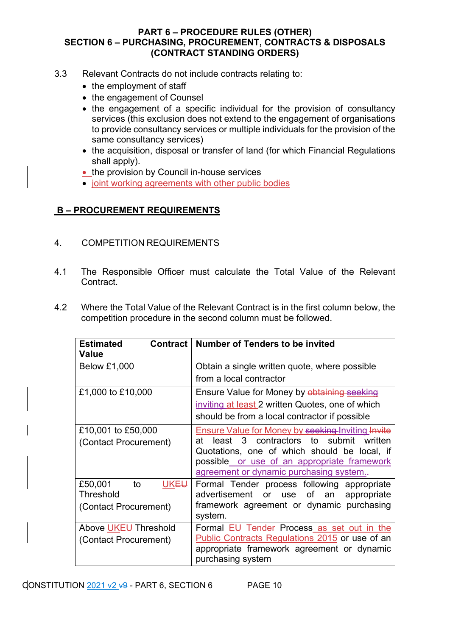- 3.3 Relevant Contracts do not include contracts relating to:
	- the employment of staff
	- the engagement of Counsel
	- the engagement of a specific individual for the provision of consultancy services (this exclusion does not extend to the engagement of organisations to provide consultancy services or multiple individuals for the provision of the same consultancy services)
	- the acquisition, disposal or transfer of land (for which Financial Regulations shall apply).
	- the provision by Council in-house services
	- joint working agreements with other public bodies

## **B – PROCUREMENT REQUIREMENTS**

- 4. COMPETITION REQUIREMENTS
- 4.1 The Responsible Officer must calculate the Total Value of the Relevant Contract.
- 4.2 Where the Total Value of the Relevant Contract is in the first column below, the competition procedure in the second column must be followed.

| <b>Estimated</b><br><b>Contract</b><br>Value                            | <b>Number of Tenders to be invited</b>                                                                                                                                                                                                                |
|-------------------------------------------------------------------------|-------------------------------------------------------------------------------------------------------------------------------------------------------------------------------------------------------------------------------------------------------|
| <b>Below £1,000</b>                                                     | Obtain a single written quote, where possible                                                                                                                                                                                                         |
|                                                                         | from a local contractor                                                                                                                                                                                                                               |
| £1,000 to £10,000                                                       | Ensure Value for Money by obtaining seeking<br>inviting at least 2 written Quotes, one of which<br>should be from a local contractor if possible                                                                                                      |
| £10,001 to £50,000<br>(Contact Procurement)                             | <b>Ensure Value for Money by seeking Inviting Invite</b><br>least 3 contractors to submit<br>written<br>atl<br>Quotations, one of which should be local, if<br>possible or use of an appropriate framework<br>agreement or dynamic purchasing system. |
| £50,001<br>to<br>UKE <del>U</del><br>Threshold<br>(Contact Procurement) | Formal Tender process following appropriate<br>advertisement<br>of<br>or<br>use<br>an<br>appropriate<br>framework agreement or dynamic purchasing<br>system.                                                                                          |
| Above UKEU Threshold<br>(Contact Procurement)                           | Formal EU Tender Process as set out in the<br>Public Contracts Regulations 2015 or use of an<br>appropriate framework agreement or dynamic<br>purchasing system                                                                                       |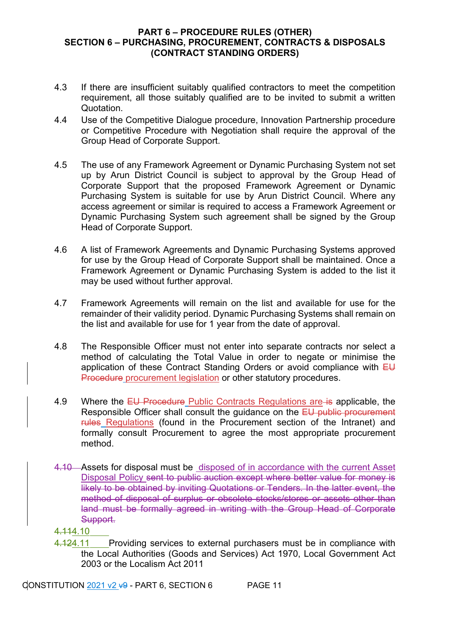- 4.3 If there are insufficient suitably qualified contractors to meet the competition requirement, all those suitably qualified are to be invited to submit a written Quotation.
- 4.4 Use of the Competitive Dialogue procedure, Innovation Partnership procedure or Competitive Procedure with Negotiation shall require the approval of the Group Head of Corporate Support.
- 4.5 The use of any Framework Agreement or Dynamic Purchasing System not set up by Arun District Council is subject to approval by the Group Head of Corporate Support that the proposed Framework Agreement or Dynamic Purchasing System is suitable for use by Arun District Council. Where any access agreement or similar is required to access a Framework Agreement or Dynamic Purchasing System such agreement shall be signed by the Group Head of Corporate Support.
- 4.6 A list of Framework Agreements and Dynamic Purchasing Systems approved for use by the Group Head of Corporate Support shall be maintained. Once a Framework Agreement or Dynamic Purchasing System is added to the list it may be used without further approval.
- 4.7 Framework Agreements will remain on the list and available for use for the remainder of their validity period. Dynamic Purchasing Systems shall remain on the list and available for use for 1 year from the date of approval.
- 4.8 The Responsible Officer must not enter into separate contracts nor select a method of calculating the Total Value in order to negate or minimise the application of these Contract Standing Orders or avoid compliance with  $E\bigcup$ Procedure procurement legislation or other statutory procedures.
- 4.9 Where the EU Procedure Public Contracts Regulations are is applicable, the Responsible Officer shall consult the guidance on the EU public procurement rules Regulations (found in the Procurement section of the Intranet) and formally consult Procurement to agree the most appropriate procurement method.
- 4.10 Assets for disposal must be disposed of in accordance with the current Asset Disposal Policy sent to public auction except where better value for money is likely to be obtained by inviting Quotations or Tenders. In the latter event, the method of disposal of surplus or obsolete stocks/stores or assets other than land must be formally agreed in writing with the Group Head of Corporate Support.
- 4.114.10
- 4.124.11 Providing services to external purchasers must be in compliance with the Local Authorities (Goods and Services) Act 1970, Local Government Act 2003 or the Localism Act 2011

CONSTITUTION  $2021$  v2  $\overline{49}$  - PART 6, SECTION 6 PAGE 11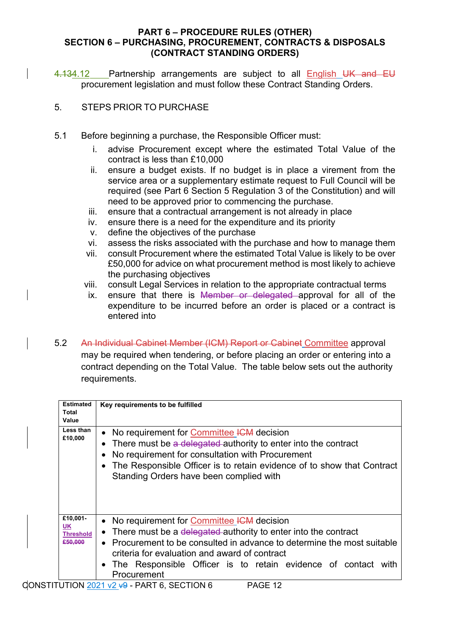4.134.12 Partnership arrangements are subject to all English UK and EU procurement legislation and must follow these Contract Standing Orders.

- 5. STEPS PRIOR TO PURCHASE
- 5.1 Before beginning a purchase, the Responsible Officer must:
	- i. advise Procurement except where the estimated Total Value of the contract is less than £10,000
	- ii. ensure a budget exists. If no budget is in place a virement from the service area or a supplementary estimate request to Full Council will be required (see Part 6 Section 5 Regulation 3 of the Constitution) and will need to be approved prior to commencing the purchase.
	- iii. ensure that a contractual arrangement is not already in place
	- iv. ensure there is a need for the expenditure and its priority
	- v. define the objectives of the purchase
	- vi. assess the risks associated with the purchase and how to manage them
	- vii. consult Procurement where the estimated Total Value is likely to be over £50,000 for advice on what procurement method is most likely to achieve the purchasing objectives
	- viii. consult Legal Services in relation to the appropriate contractual terms
	- ix. ensure that there is Member or delegated approval for all of the expenditure to be incurred before an order is placed or a contract is entered into
- 5.2 An Individual Cabinet Member (ICM) Report or Cabinet Committee approval may be required when tendering, or before placing an order or entering into a contract depending on the Total Value. The table below sets out the authority requirements.

| <b>Estimated</b><br>Total<br>Value            | Key requirements to be fulfilled                                                                                                                                                                                                                                                                                                        |  |
|-----------------------------------------------|-----------------------------------------------------------------------------------------------------------------------------------------------------------------------------------------------------------------------------------------------------------------------------------------------------------------------------------------|--|
| Less than<br>£10,000                          | No requirement for Committee ICM decision<br>$\bullet$<br>There must be a delegated authority to enter into the contract<br>No requirement for consultation with Procurement<br>The Responsible Officer is to retain evidence of to show that Contract<br>Standing Orders have been complied with                                       |  |
| £10,001-<br>UK<br><b>Threshold</b><br>£50,000 | No requirement for Committee ICM decision<br>There must be a delegated authority to enter into the contract<br>٠<br>Procurement to be consulted in advance to determine the most suitable<br>$\bullet$<br>criteria for evaluation and award of contract<br>The Responsible Officer is to retain evidence of contact with<br>Procurement |  |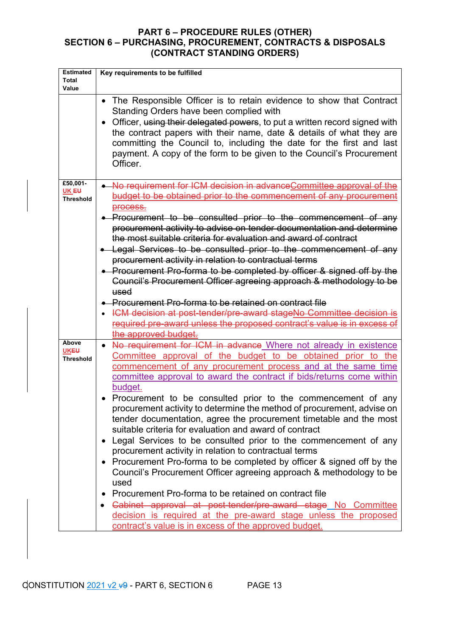| <b>Estimated</b><br>Total<br>Value    | Key requirements to be fulfilled                                                                                                                                                                                                                                       |  |
|---------------------------------------|------------------------------------------------------------------------------------------------------------------------------------------------------------------------------------------------------------------------------------------------------------------------|--|
|                                       | The Responsible Officer is to retain evidence to show that Contract<br>$\bullet$<br>Standing Orders have been complied with<br>Officer, using their delegated powers, to put a written record signed with                                                              |  |
|                                       | the contract papers with their name, date & details of what they are<br>committing the Council to, including the date for the first and last<br>payment. A copy of the form to be given to the Council's Procurement<br>Officer.                                       |  |
| £50,001-<br>UK EU<br><b>Threshold</b> | • No requirement for ICM decision in advanceCommittee approval of the<br>budget to be obtained prior to the commencement of any procurement<br>process.                                                                                                                |  |
|                                       | • Procurement to be consulted prior to the commencement of any<br>procurement activity to advise on tender documentation and determine<br>the most suitable criteria for evaluation and award of contract                                                              |  |
|                                       | • Legal Services to be consulted prior to the commencement of any                                                                                                                                                                                                      |  |
|                                       | procurement activity in relation to contractual terms<br>• Procurement Pro-forma to be completed by officer & signed off by the                                                                                                                                        |  |
|                                       | Council's Procurement Officer agreeing approach & methodology to be                                                                                                                                                                                                    |  |
|                                       | used                                                                                                                                                                                                                                                                   |  |
|                                       | • Procurement Pro-forma to be retained on contract file                                                                                                                                                                                                                |  |
|                                       | • ICM decision at post-tender/pre-award stageNo Committee decision is<br>required pre-award unless the proposed contract's value is in excess of                                                                                                                       |  |
|                                       | the approved budget.                                                                                                                                                                                                                                                   |  |
| Above                                 | No requirement for ICM in advance Where not already in existence                                                                                                                                                                                                       |  |
| <b>UKEU</b><br><b>Threshold</b>       | Committee approval of the budget to be obtained prior to the<br>commencement of any procurement process and at the same time<br>committee approval to award the contract if bids/returns come within<br>budget.                                                        |  |
|                                       | Procurement to be consulted prior to the commencement of any<br>procurement activity to determine the method of procurement, advise on<br>tender documentation, agree the procurement timetable and the most<br>suitable criteria for evaluation and award of contract |  |
|                                       | Legal Services to be consulted prior to the commencement of any<br>procurement activity in relation to contractual terms                                                                                                                                               |  |
|                                       | Procurement Pro-forma to be completed by officer & signed off by the<br>Council's Procurement Officer agreeing approach & methodology to be<br>used                                                                                                                    |  |
|                                       | Procurement Pro-forma to be retained on contract file<br>Cabinet approval at post-tender/pre-award stage No Committee<br>decision is required at the pre-award stage unless the proposed<br>contract's value is in excess of the approved budget.                      |  |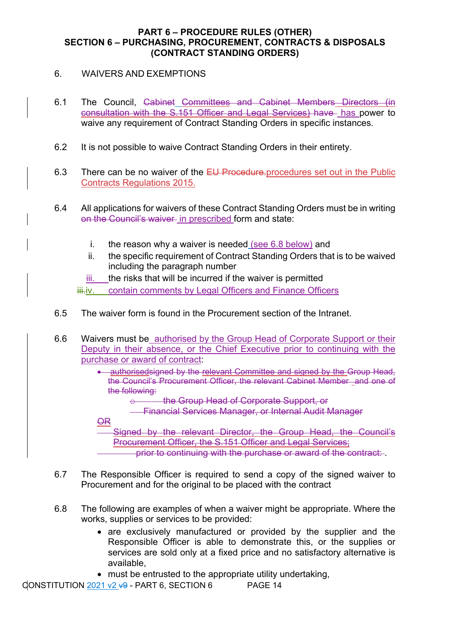- 6. WAIVERS AND EXEMPTIONS
- 6.1 The Council, Cabinet Committees and Cabinet Members Directors (in consultation with the S.151 Officer and Legal Services) have has power to waive any requirement of Contract Standing Orders in specific instances.
- 6.2 It is not possible to waive Contract Standing Orders in their entirety.
- 6.3 There can be no waiver of the EU Procedure.procedures set out in the Public Contracts Regulations 2015.
- 6.4 All applications for waivers of these Contract Standing Orders must be in writing on the Council's waiver in prescribed form and state:
	- i. the reason why a waiver is needed  $(see 6.8 below)$  and
	- ii. the specific requirement of Contract Standing Orders that is to be waived including the paragraph number
	- iii. the risks that will be incurred if the waiver is permitted
	- iii.iv. contain comments by Legal Officers and Finance Officers
- 6.5 The waiver form is found in the Procurement section of the Intranet.
- 6.6 Waivers must be authorised by the Group Head of Corporate Support or their Deputy in their absence, or the Chief Executive prior to continuing with the purchase or award of contract:
	- **authorisedsigned by the relevant Committee and signed by the Group Head,** the Council's Procurement Officer, the relevant Cabinet Member and one of the following:
		- o the Group Head of Corporate Support, or
		- Financial Services Manager, or Internal Audit Manager

**OR** 

Signed by the relevant Director, the Group Head, the Council's **Procurement Officer, the S.151 Officer and Legal Services:** prior to continuing with the purchase or award of the contract:

- 6.7 The Responsible Officer is required to send a copy of the signed waiver to Procurement and for the original to be placed with the contract
- 6.8 The following are examples of when a waiver might be appropriate. Where the works, supplies or services to be provided:
	- are exclusively manufactured or provided by the supplier and the Responsible Officer is able to demonstrate this, or the supplies or services are sold only at a fixed price and no satisfactory alternative is available,
	- must be entrusted to the appropriate utility undertaking,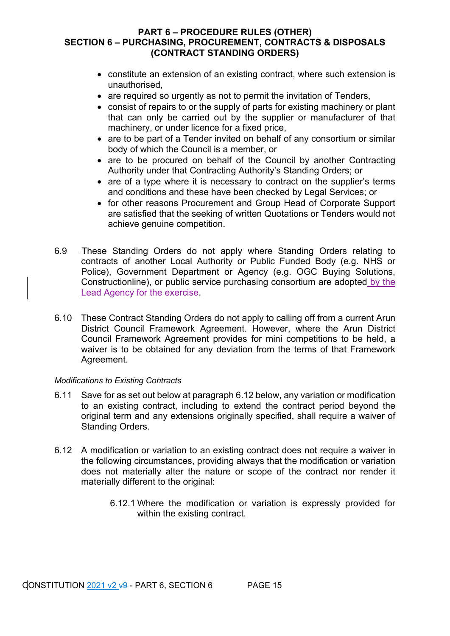- constitute an extension of an existing contract, where such extension is unauthorised,
- are required so urgently as not to permit the invitation of Tenders,
- consist of repairs to or the supply of parts for existing machinery or plant that can only be carried out by the supplier or manufacturer of that machinery, or under licence for a fixed price,
- are to be part of a Tender invited on behalf of any consortium or similar body of which the Council is a member, or
- are to be procured on behalf of the Council by another Contracting Authority under that Contracting Authority's Standing Orders; or
- are of a type where it is necessary to contract on the supplier's terms and conditions and these have been checked by Legal Services; or
- for other reasons Procurement and Group Head of Corporate Support are satisfied that the seeking of written Quotations or Tenders would not achieve genuine competition.
- 6.9 These Standing Orders do not apply where Standing Orders relating to contracts of another Local Authority or Public Funded Body (e.g. NHS or Police), Government Department or Agency (e.g. OGC Buying Solutions, Constructionline), or public service purchasing consortium are adopted by the Lead Agency for the exercise.
- 6.10 These Contract Standing Orders do not apply to calling off from a current Arun District Council Framework Agreement. However, where the Arun District Council Framework Agreement provides for mini competitions to be held, a waiver is to be obtained for any deviation from the terms of that Framework Agreement.

#### *Modifications to Existing Contracts*

- 6.11 Save for as set out below at paragraph 6.12 below, any variation or modification to an existing contract, including to extend the contract period beyond the original term and any extensions originally specified, shall require a waiver of Standing Orders.
- 6.12 A modification or variation to an existing contract does not require a waiver in the following circumstances, providing always that the modification or variation does not materially alter the nature or scope of the contract nor render it materially different to the original:
	- 6.12.1 Where the modification or variation is expressly provided for within the existing contract.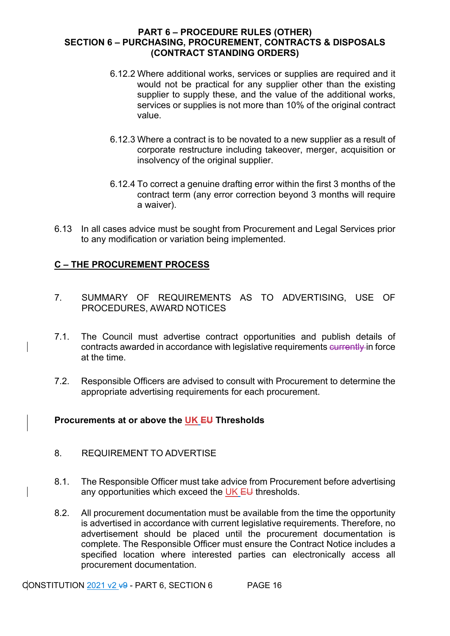- 6.12.2 Where additional works, services or supplies are required and it would not be practical for any supplier other than the existing supplier to supply these, and the value of the additional works, services or supplies is not more than 10% of the original contract value.
- 6.12.3 Where a contract is to be novated to a new supplier as a result of corporate restructure including takeover, merger, acquisition or insolvency of the original supplier.
- 6.12.4 To correct a genuine drafting error within the first 3 months of the contract term (any error correction beyond 3 months will require a waiver).
- 6.13 In all cases advice must be sought from Procurement and Legal Services prior to any modification or variation being implemented.

## **C – THE PROCUREMENT PROCESS**

- 7. SUMMARY OF REQUIREMENTS AS TO ADVERTISING, USE OF PROCEDURES, AWARD NOTICES
- 7.1. The Council must advertise contract opportunities and publish details of contracts awarded in accordance with legislative requirements currently in force at the time.
- 7.2. Responsible Officers are advised to consult with Procurement to determine the appropriate advertising requirements for each procurement.

## **Procurements at or above the UK EU Thresholds**

- 8. REQUIREMENT TO ADVERTISE
- 8.1. The Responsible Officer must take advice from Procurement before advertising any opportunities which exceed the UK EU thresholds.
- 8.2. All procurement documentation must be available from the time the opportunity is advertised in accordance with current legislative requirements. Therefore, no advertisement should be placed until the procurement documentation is complete. The Responsible Officer must ensure the Contract Notice includes a specified location where interested parties can electronically access all procurement documentation.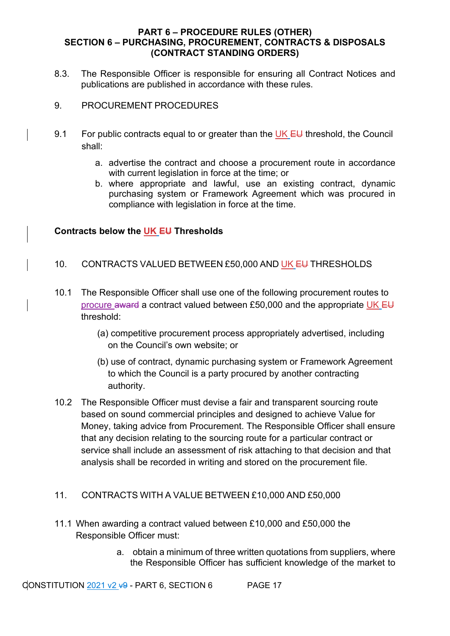- 8.3. The Responsible Officer is responsible for ensuring all Contract Notices and publications are published in accordance with these rules.
- 9. PROCUREMENT PROCEDURES
- 9.1 For public contracts equal to or greater than the UK  $E$ U threshold, the Council shall:
	- a. advertise the contract and choose a procurement route in accordance with current legislation in force at the time; or
	- b. where appropriate and lawful, use an existing contract, dynamic purchasing system or Framework Agreement which was procured in compliance with legislation in force at the time.

## **Contracts below the UK EU Thresholds**

- 10. CONTRACTS VALUED BETWEEN £50,000 AND UK EU THRESHOLDS
- 10.1 The Responsible Officer shall use one of the following procurement routes to procure award a contract valued between £50,000 and the appropriate UK EU threshold:
	- (a) competitive procurement process appropriately advertised, including on the Council's own website; or
	- (b) use of contract, dynamic purchasing system or Framework Agreement to which the Council is a party procured by another contracting authority.
- 10.2 The Responsible Officer must devise a fair and transparent sourcing route based on sound commercial principles and designed to achieve Value for Money, taking advice from Procurement. The Responsible Officer shall ensure that any decision relating to the sourcing route for a particular contract or service shall include an assessment of risk attaching to that decision and that analysis shall be recorded in writing and stored on the procurement file.

## 11. CONTRACTS WITH A VALUE BETWEEN £10,000 AND £50,000

- 11.1 When awarding a contract valued between £10,000 and £50,000 the Responsible Officer must:
	- a. obtain a minimum of three written quotations from suppliers, where the Responsible Officer has sufficient knowledge of the market to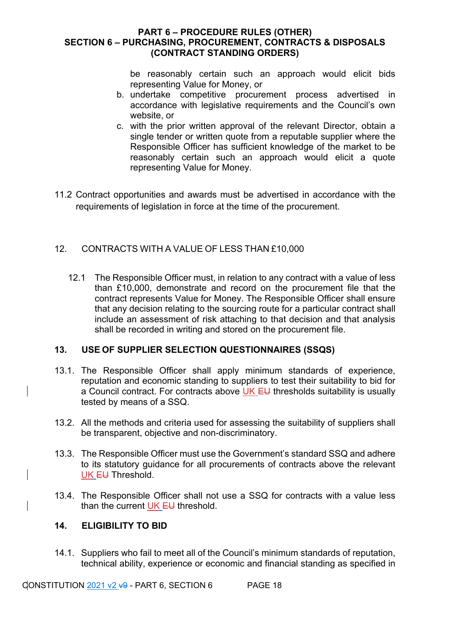be reasonably certain such an approach would elicit bids representing Value for Money, or

- b. undertake competitive procurement process advertised in accordance with legislative requirements and the Council's own website, or
- c. with the prior written approval of the relevant Director, obtain a single tender or written quote from a reputable supplier where the Responsible Officer has sufficient knowledge of the market to be reasonably certain such an approach would elicit a quote representing Value for Money.
- 11.2 Contract opportunities and awards must be advertised in accordance with the requirements of legislation in force at the time of the procurement.

## 12. CONTRACTS WITH A VALUE OF LESS THAN £10,000

12.1 The Responsible Officer must, in relation to any contract with a value of less than £10,000, demonstrate and record on the procurement file that the contract represents Value for Money. The Responsible Officer shall ensure that any decision relating to the sourcing route for a particular contract shall include an assessment of risk attaching to that decision and that analysis shall be recorded in writing and stored on the procurement file.

#### **13. USE OF SUPPLIER SELECTION QUESTIONNAIRES (SSQS)**

- 13.1. The Responsible Officer shall apply minimum standards of experience, reputation and economic standing to suppliers to test their suitability to bid for a Council contract. For contracts above UK EU thresholds suitability is usually tested by means of a SSQ.
- 13.2. All the methods and criteria used for assessing the suitability of suppliers shall be transparent, objective and non-discriminatory.
- 13.3. The Responsible Officer must use the Government's standard SSQ and adhere to its statutory guidance for all procurements of contracts above the relevant UK EU Threshold.
- 13.4. The Responsible Officer shall not use a SSQ for contracts with a value less than the current  $UK$  EU threshold.

#### **14. ELIGIBILITY TO BID**

14.1. Suppliers who fail to meet all of the Council's minimum standards of reputation, technical ability, experience or economic and financial standing as specified in

CONSTITUTION  $2021$  v2  $\overline{49}$  - PART 6, SECTION 6 PAGE 18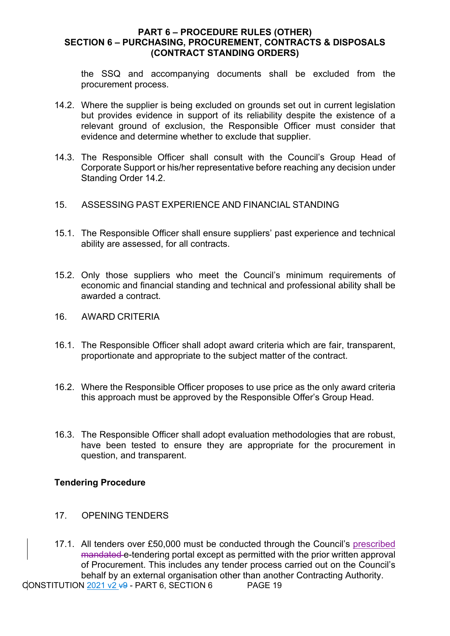the SSQ and accompanying documents shall be excluded from the procurement process.

- 14.2. Where the supplier is being excluded on grounds set out in current legislation but provides evidence in support of its reliability despite the existence of a relevant ground of exclusion, the Responsible Officer must consider that evidence and determine whether to exclude that supplier.
- 14.3. The Responsible Officer shall consult with the Council's Group Head of Corporate Support or his/her representative before reaching any decision under Standing Order 14.2.
- 15. ASSESSING PAST EXPERIENCE AND FINANCIAL STANDING
- 15.1. The Responsible Officer shall ensure suppliers' past experience and technical ability are assessed, for all contracts.
- 15.2. Only those suppliers who meet the Council's minimum requirements of economic and financial standing and technical and professional ability shall be awarded a contract.
- 16. AWARD CRITERIA
- 16.1. The Responsible Officer shall adopt award criteria which are fair, transparent, proportionate and appropriate to the subject matter of the contract.
- 16.2. Where the Responsible Officer proposes to use price as the only award criteria this approach must be approved by the Responsible Offer's Group Head.
- 16.3. The Responsible Officer shall adopt evaluation methodologies that are robust, have been tested to ensure they are appropriate for the procurement in question, and transparent.

## **Tendering Procedure**

- 17. OPENING TENDERS
- 17.1. All tenders over £50,000 must be conducted through the Council's prescribed mandated e-tendering portal except as permitted with the prior written approval of Procurement. This includes any tender process carried out on the Council's behalf by an external organisation other than another Contracting Authority.

CONSTITUTION  $\frac{2021 \text{ v2 } 9}{2}$  - PART 6, SECTION 6 PAGE 19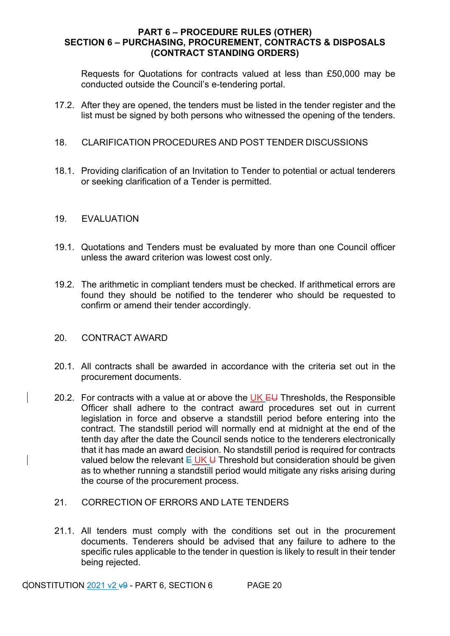Requests for Quotations for contracts valued at less than £50,000 may be conducted outside the Council's e-tendering portal.

17.2. After they are opened, the tenders must be listed in the tender register and the list must be signed by both persons who witnessed the opening of the tenders.

#### 18. CLARIFICATION PROCEDURES AND POST TENDER DISCUSSIONS

18.1. Providing clarification of an Invitation to Tender to potential or actual tenderers or seeking clarification of a Tender is permitted.

#### 19. EVALUATION

- 19.1. Quotations and Tenders must be evaluated by more than one Council officer unless the award criterion was lowest cost only.
- 19.2. The arithmetic in compliant tenders must be checked. If arithmetical errors are found they should be notified to the tenderer who should be requested to confirm or amend their tender accordingly.

#### 20. CONTRACT AWARD

- 20.1. All contracts shall be awarded in accordance with the criteria set out in the procurement documents.
- 20.2. For contracts with a value at or above the UK  $E\bigcup$  Thresholds, the Responsible Officer shall adhere to the contract award procedures set out in current legislation in force and observe a standstill period before entering into the contract. The standstill period will normally end at midnight at the end of the tenth day after the date the Council sends notice to the tenderers electronically that it has made an award decision. No standstill period is required for contracts valued below the relevant  $E \cup K \cup T$  Threshold but consideration should be given as to whether running a standstill period would mitigate any risks arising during the course of the procurement process.
- 21. CORRECTION OF ERRORS AND LATE TENDERS
- 21.1. All tenders must comply with the conditions set out in the procurement documents. Tenderers should be advised that any failure to adhere to the specific rules applicable to the tender in question is likely to result in their tender being rejected.

CONSTITUTION  $2021$  v2  $\overline{49}$  - PART 6, SECTION 6 PAGE 20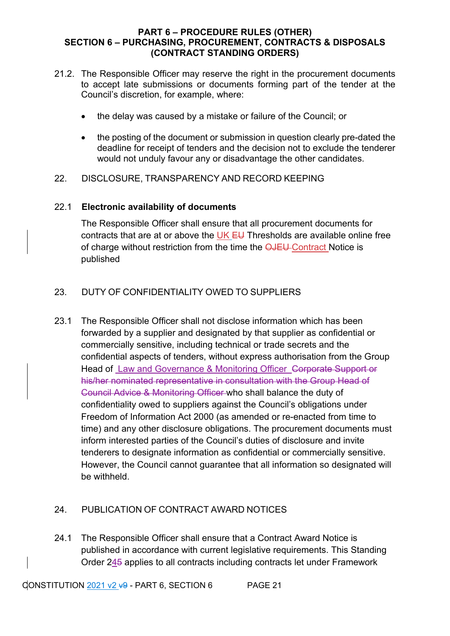- 21.2. The Responsible Officer may reserve the right in the procurement documents to accept late submissions or documents forming part of the tender at the Council's discretion, for example, where:
	- the delay was caused by a mistake or failure of the Council; or
	- the posting of the document or submission in question clearly pre-dated the deadline for receipt of tenders and the decision not to exclude the tenderer would not unduly favour any or disadvantage the other candidates.
- 22. DISCLOSURE, TRANSPARENCY AND RECORD KEEPING

## 22.1 **Electronic availability of documents**

The Responsible Officer shall ensure that all procurement documents for contracts that are at or above the UK  $E U$  Thresholds are available online free of charge without restriction from the time the **OJEU** Contract Notice is published

## 23. DUTY OF CONFIDENTIALITY OWED TO SUPPLIERS

23.1 The Responsible Officer shall not disclose information which has been forwarded by a supplier and designated by that supplier as confidential or commercially sensitive, including technical or trade secrets and the confidential aspects of tenders, without express authorisation from the Group Head of Law and Governance & Monitoring Officer Corporate Support or his/her nominated representative in consultation with the Group Head of Council Advice & Monitoring Officer who shall balance the duty of confidentiality owed to suppliers against the Council's obligations under Freedom of Information Act 2000 (as amended or re-enacted from time to time) and any other disclosure obligations. The procurement documents must inform interested parties of the Council's duties of disclosure and invite tenderers to designate information as confidential or commercially sensitive. However, the Council cannot guarantee that all information so designated will be withheld.

## 24. PUBLICATION OF CONTRACT AWARD NOTICES

24.1 The Responsible Officer shall ensure that a Contract Award Notice is published in accordance with current legislative requirements. This Standing Order 245 applies to all contracts including contracts let under Framework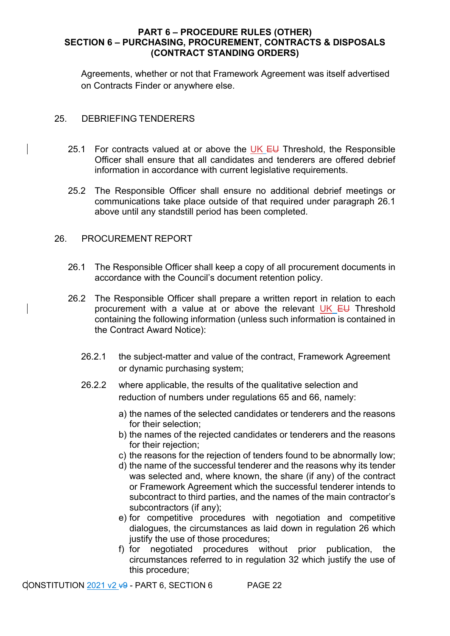Agreements, whether or not that Framework Agreement was itself advertised on Contracts Finder or anywhere else.

#### 25. DEBRIEFING TENDERERS

- 25.1 For contracts valued at or above the UK  $E U$  Threshold, the Responsible Officer shall ensure that all candidates and tenderers are offered debrief information in accordance with current legislative requirements.
- 25.2 The Responsible Officer shall ensure no additional debrief meetings or communications take place outside of that required under paragraph 26.1 above until any standstill period has been completed.

## 26. PROCUREMENT REPORT

- 26.1 The Responsible Officer shall keep a copy of all procurement documents in accordance with the Council's document retention policy.
- 26.2 The Responsible Officer shall prepare a written report in relation to each procurement with a value at or above the relevant UK EU Threshold containing the following information (unless such information is contained in the Contract Award Notice):
	- 26.2.1 the subject-matter and value of the contract, Framework Agreement or dynamic purchasing system;
	- 26.2.2 where applicable, the results of the qualitative selection and reduction of numbers under regulations 65 and 66, namely:
		- a) the names of the selected candidates or tenderers and the reasons for their selection;
		- b) the names of the rejected candidates or tenderers and the reasons for their rejection:
		- c) the reasons for the rejection of tenders found to be abnormally low;
		- d) the name of the successful tenderer and the reasons why its tender was selected and, where known, the share (if any) of the contract or Framework Agreement which the successful tenderer intends to subcontract to third parties, and the names of the main contractor's subcontractors (if any);
		- e) for competitive procedures with negotiation and competitive dialogues, the circumstances as laid down in regulation 26 which justify the use of those procedures;
		- f) for negotiated procedures without prior publication, the circumstances referred to in regulation 32 which justify the use of this procedure;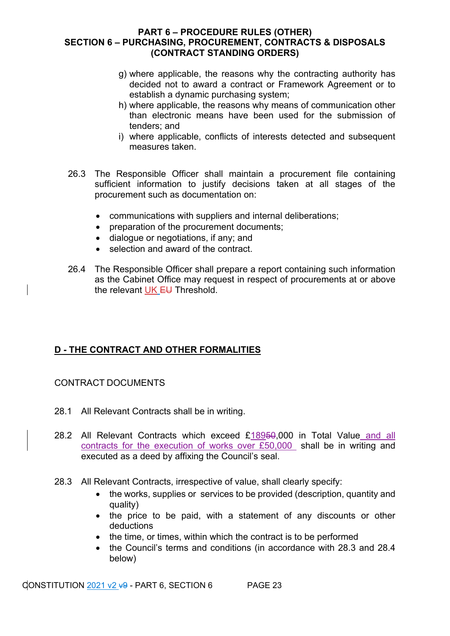- g) where applicable, the reasons why the contracting authority has decided not to award a contract or Framework Agreement or to establish a dynamic purchasing system;
- h) where applicable, the reasons why means of communication other than electronic means have been used for the submission of tenders; and
- i) where applicable, conflicts of interests detected and subsequent measures taken.
- 26.3 The Responsible Officer shall maintain a procurement file containing sufficient information to justify decisions taken at all stages of the procurement such as documentation on:
	- communications with suppliers and internal deliberations;
	- preparation of the procurement documents;
	- dialogue or negotiations, if any; and
	- selection and award of the contract.
- 26.4 The Responsible Officer shall prepare a report containing such information as the Cabinet Office may request in respect of procurements at or above the relevant UK EU Threshold.

## **D - THE CONTRACT AND OTHER FORMALITIES**

## CONTRACT DOCUMENTS

- 28.1 All Relevant Contracts shall be in writing.
- 28.2 All Relevant Contracts which exceed £18950,000 in Total Value and all contracts for the execution of works over £50,000 shall be in writing and executed as a deed by affixing the Council's seal.
- 28.3 All Relevant Contracts, irrespective of value, shall clearly specify:
	- the works, supplies or services to be provided (description, quantity and quality)
	- the price to be paid, with a statement of any discounts or other deductions
	- the time, or times, within which the contract is to be performed
	- the Council's terms and conditions (in accordance with 28.3 and 28.4 below)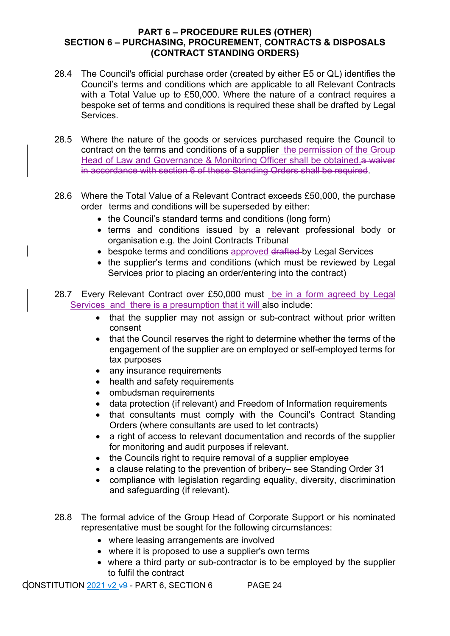- 28.4 The Council's official purchase order (created by either E5 or QL) identifies the Council's terms and conditions which are applicable to all Relevant Contracts with a Total Value up to £50,000. Where the nature of a contract requires a bespoke set of terms and conditions is required these shall be drafted by Legal Services.
- 28.5 Where the nature of the goods or services purchased require the Council to contract on the terms and conditions of a supplier the permission of the Group Head of Law and Governance & Monitoring Officer shall be obtained.a waiver in accordance with section 6 of these Standing Orders shall be required.
- 28.6 Where the Total Value of a Relevant Contract exceeds £50,000, the purchase order terms and conditions will be superseded by either:
	- the Council's standard terms and conditions (long form)
	- terms and conditions issued by a relevant professional body or organisation e.g. the Joint Contracts Tribunal
	- bespoke terms and conditions approved drafted by Legal Services
	- the supplier's terms and conditions (which must be reviewed by Legal Services prior to placing an order/entering into the contract)
- 28.7 Every Relevant Contract over £50,000 must be in a form agreed by Legal Services and there is a presumption that it will also include:
	- that the supplier may not assign or sub-contract without prior written consent
	- that the Council reserves the right to determine whether the terms of the engagement of the supplier are on employed or self-employed terms for tax purposes
	- any insurance requirements
	- health and safety requirements
	- ombudsman requirements
	- data protection (if relevant) and Freedom of Information requirements
	- that consultants must comply with the Council's Contract Standing Orders (where consultants are used to let contracts)
	- a right of access to relevant documentation and records of the supplier for monitoring and audit purposes if relevant.
	- the Councils right to require removal of a supplier employee
	- a clause relating to the prevention of bribery– see Standing Order 31
	- compliance with legislation regarding equality, diversity, discrimination and safeguarding (if relevant).
- 28.8 The formal advice of the Group Head of Corporate Support or his nominated representative must be sought for the following circumstances:
	- where leasing arrangements are involved
	- where it is proposed to use a supplier's own terms
	- where a third party or sub-contractor is to be employed by the supplier to fulfil the contract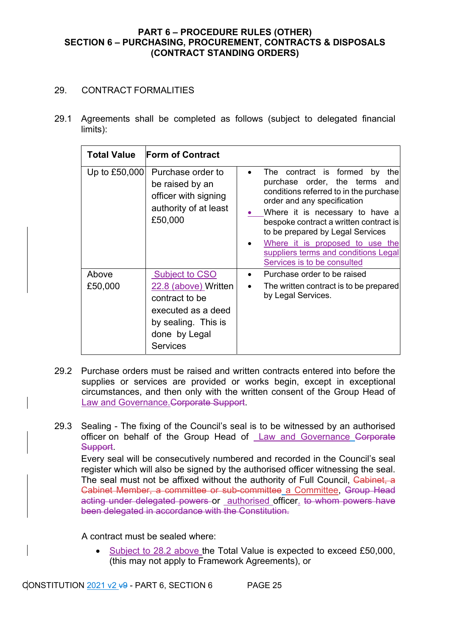## 29. CONTRACT FORMALITIES

29.1 Agreements shall be completed as follows (subject to delegated financial limits):

|                  | <b>Total Value</b> Form of Contract                                                                                                              |                                                                                                                                                                                                                                                                                                                                                                            |
|------------------|--------------------------------------------------------------------------------------------------------------------------------------------------|----------------------------------------------------------------------------------------------------------------------------------------------------------------------------------------------------------------------------------------------------------------------------------------------------------------------------------------------------------------------------|
|                  | Up to £50,000 Purchase order to<br>be raised by an<br>officer with signing<br>authority of at least<br>£50,000                                   | The contract is formed by<br>thel<br>purchase order, the terms<br>andl<br>conditions referred to in the purchase<br>order and any specification<br>Where it is necessary to have a<br>bespoke contract a written contract is<br>to be prepared by Legal Services<br>Where it is proposed to use the<br>suppliers terms and conditions Legal<br>Services is to be consulted |
| Above<br>£50,000 | <b>Subject to CSO</b><br>22.8 (above) Written<br>contract to be<br>executed as a deed<br>by sealing. This is<br>done by Legal<br><b>Services</b> | Purchase order to be raised<br>$\bullet$<br>The written contract is to be prepared<br>by Legal Services.                                                                                                                                                                                                                                                                   |

- 29.2 Purchase orders must be raised and written contracts entered into before the supplies or services are provided or works begin, except in exceptional circumstances, and then only with the written consent of the Group Head of Law and Governance. Corporate Support.
- 29.3 Sealing The fixing of the Council's seal is to be witnessed by an authorised officer on behalf of the Group Head of Law and Governance Corporate Support. Every seal will be consecutively numbered and recorded in the Council's seal register which will also be signed by the authorised officer witnessing the seal. The seal must not be affixed without the authority of Full Council, Cabinet, a Cabinet Member, a committee or sub-committee a Committee, Group Head acting under delegated powers or authorised officer. to whom powers have been delegated in accordance with the Constitution.

A contract must be sealed where:

• Subject to 28.2 above the Total Value is expected to exceed £50,000, (this may not apply to Framework Agreements), or

CONSTITUTION 2021 v2  $\overline{v}$ 9 - PART 6, SECTION 6 PAGE 25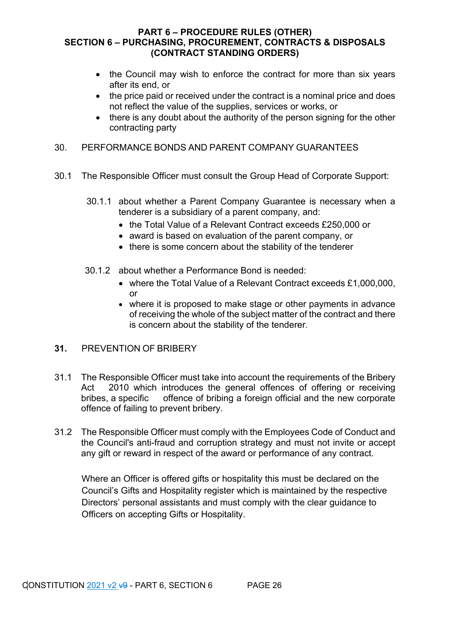- the Council may wish to enforce the contract for more than six years after its end, or
- the price paid or received under the contract is a nominal price and does not reflect the value of the supplies, services or works, or
- there is any doubt about the authority of the person signing for the other contracting party

## 30. PERFORMANCE BONDS AND PARENT COMPANY GUARANTEES

- 30.1 The Responsible Officer must consult the Group Head of Corporate Support:
	- 30.1.1 about whether a Parent Company Guarantee is necessary when a tenderer is a subsidiary of a parent company, and:
		- the Total Value of a Relevant Contract exceeds £250,000 or
		- award is based on evaluation of the parent company, or
		- there is some concern about the stability of the tenderer
	- 30.1.2 about whether a Performance Bond is needed:
		- where the Total Value of a Relevant Contract exceeds £1,000,000, or
		- where it is proposed to make stage or other payments in advance of receiving the whole of the subject matter of the contract and there is concern about the stability of the tenderer.

## **31.** PREVENTION OF BRIBERY

- 31.1 The Responsible Officer must take into account the requirements of the Bribery Act 2010 which introduces the general offences of offering or receiving bribes, a specific offence of bribing a foreign official and the new corporate offence of failing to prevent bribery.
- 31.2 The Responsible Officer must comply with the Employees Code of Conduct and the Council's anti-fraud and corruption strategy and must not invite or accept any gift or reward in respect of the award or performance of any contract.

Where an Officer is offered gifts or hospitality this must be declared on the Council's Gifts and Hospitality register which is maintained by the respective Directors' personal assistants and must comply with the clear guidance to Officers on accepting Gifts or Hospitality.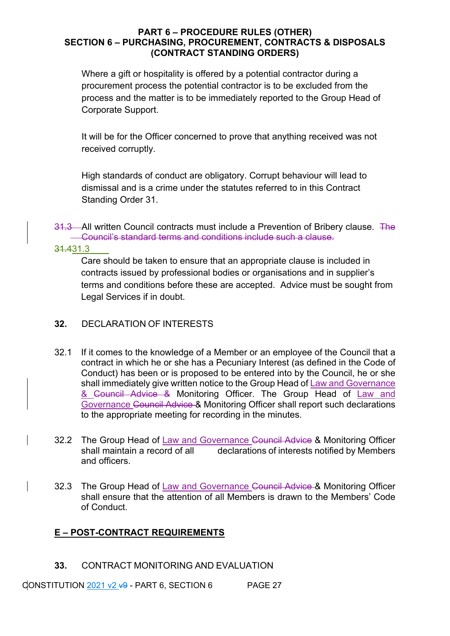Where a gift or hospitality is offered by a potential contractor during a procurement process the potential contractor is to be excluded from the process and the matter is to be immediately reported to the Group Head of Corporate Support.

It will be for the Officer concerned to prove that anything received was not received corruptly.

High standards of conduct are obligatory. Corrupt behaviour will lead to dismissal and is a crime under the statutes referred to in this Contract Standing Order 31.

31.3 All written Council contracts must include a Prevention of Bribery clause. The Council's standard terms and conditions include such a clause.

31.431.3

Care should be taken to ensure that an appropriate clause is included in contracts issued by professional bodies or organisations and in supplier's terms and conditions before these are accepted. Advice must be sought from Legal Services if in doubt.

## **32.** DECLARATION OF INTERESTS

- 32.1 If it comes to the knowledge of a Member or an employee of the Council that a contract in which he or she has a Pecuniary Interest (as defined in the Code of Conduct) has been or is proposed to be entered into by the Council, he or she shall immediately give written notice to the Group Head of Law and Governance & Council Advice & Monitoring Officer. The Group Head of Law and Governance Council Advice & Monitoring Officer shall report such declarations to the appropriate meeting for recording in the minutes.
- 32.2 The Group Head of Law and Governance Council Advice & Monitoring Officer shall maintain a record of all declarations of interests notified by Members and officers.
- 32.3 The Group Head of Law and Governance Council Advice & Monitoring Officer shall ensure that the attention of all Members is drawn to the Members' Code of Conduct.

## **E – POST-CONTRACT REQUIREMENTS**

**33.** CONTRACT MONITORING AND EVALUATION

CONSTITUTION 2021 v2  $\overline{v}$ 9 - PART 6, SECTION 6 PAGE 27